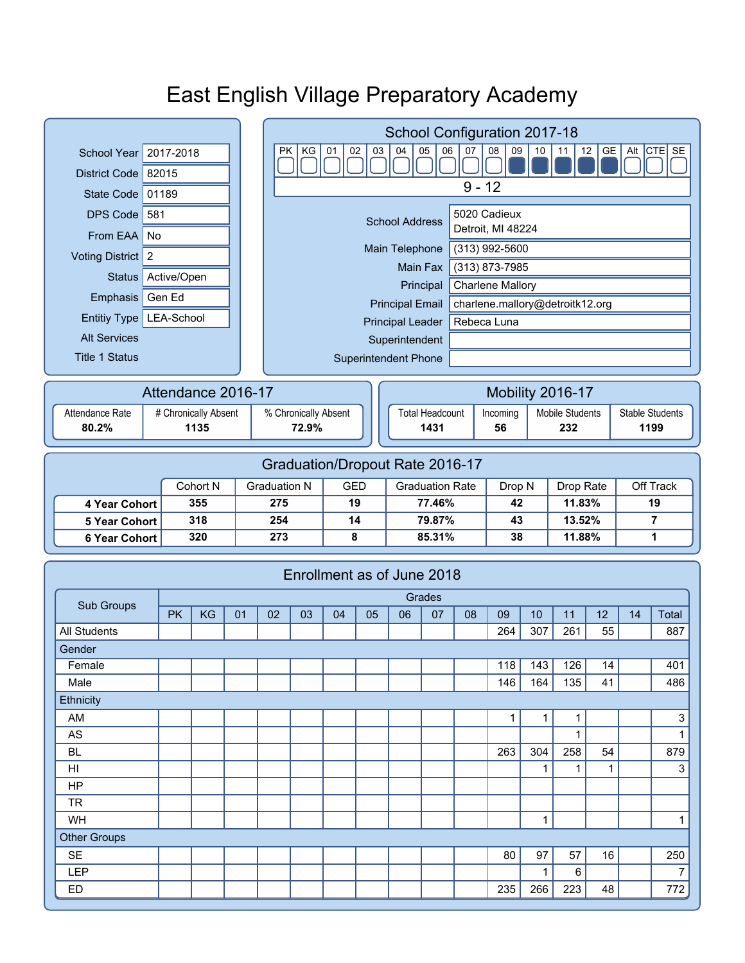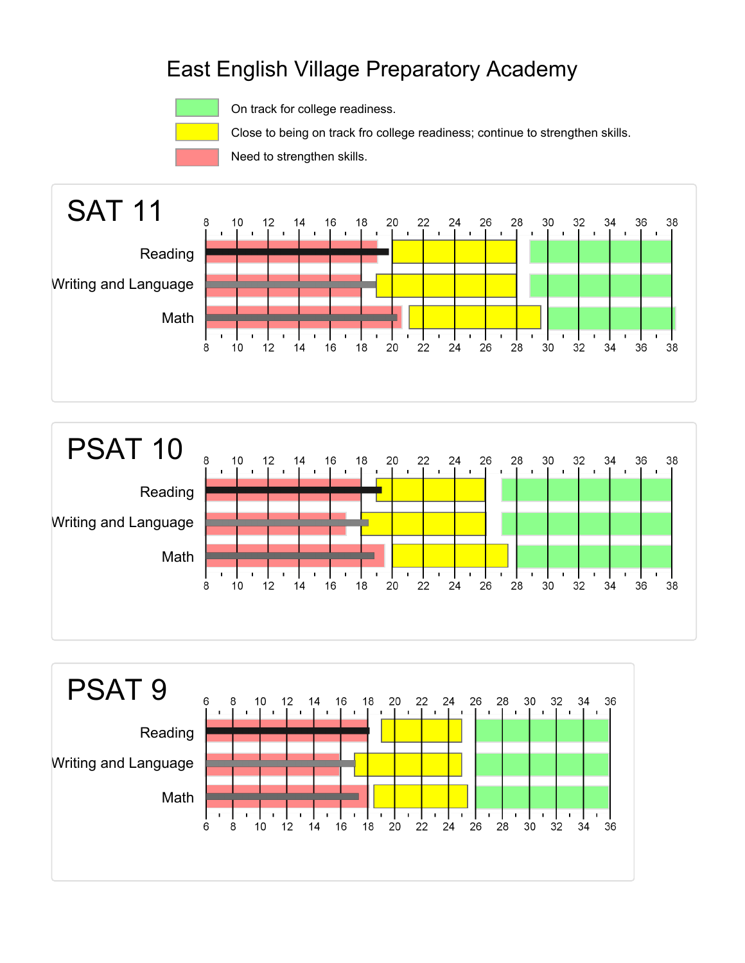

On track for college readiness.

Close to being on track fro college readiness; continue to strengthen skills.

Need to strengthen skills.





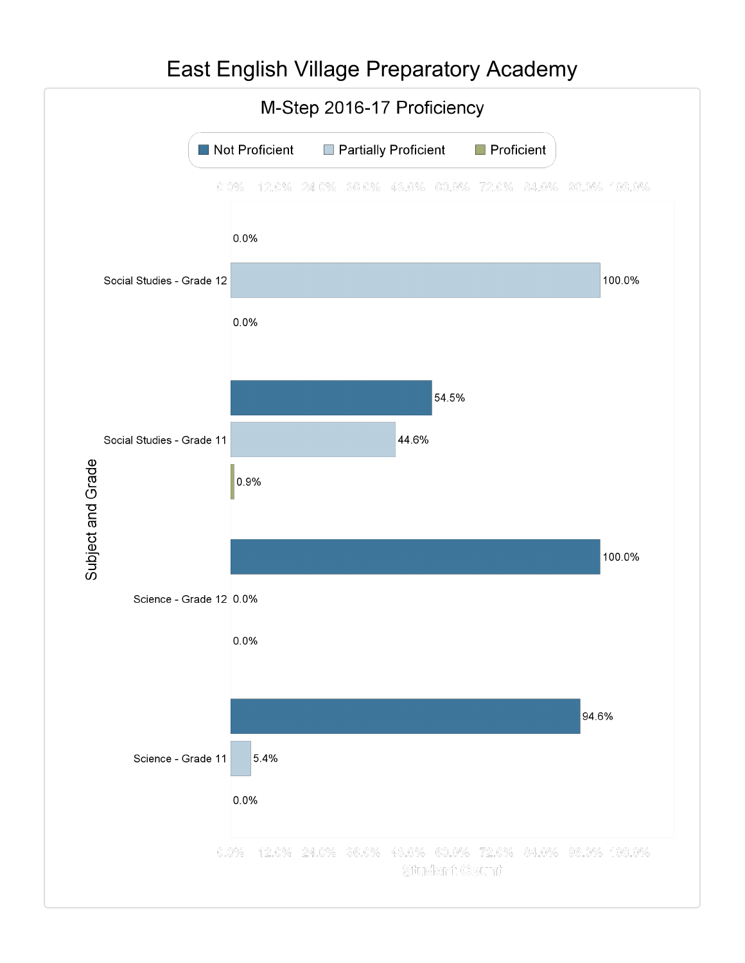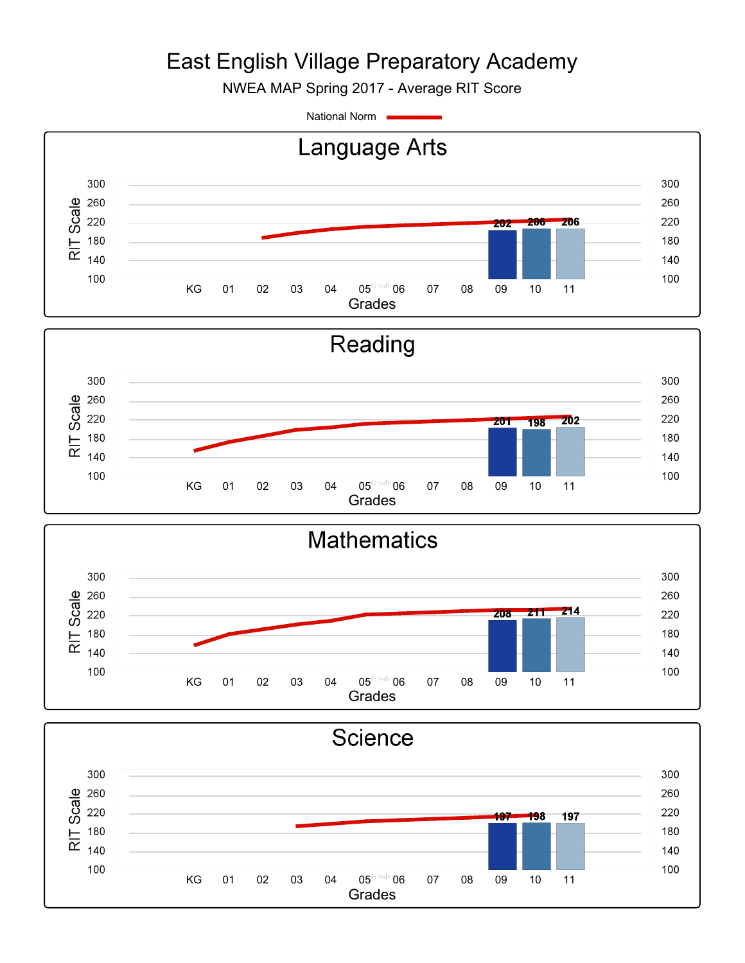NWEA MAP Spring 2017 - Average RIT Score

National Norm



Grades